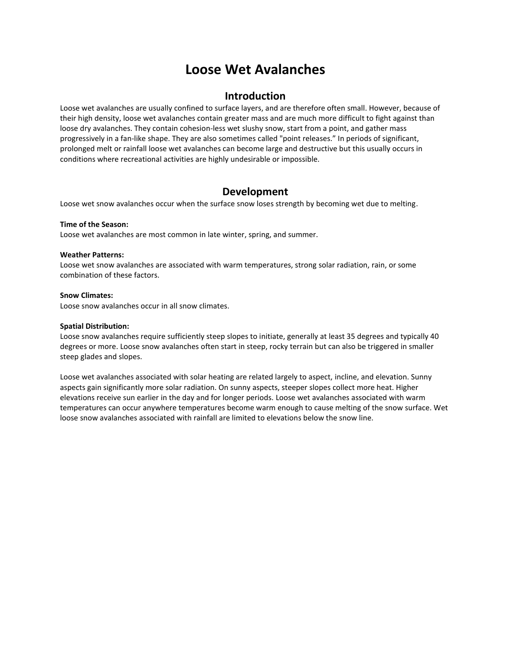# **Loose Wet Avalanches**

### **Introduction**

Loose wet avalanches are usually confined to surface layers, and are therefore often small. However, because of their high density, loose wet avalanches contain greater mass and are much more difficult to fight against than loose dry avalanches. They contain cohesion-less wet slushy snow, start from a point, and gather mass progressively in a fan‐like shape. They are also sometimes called "point releases." In periods of significant, prolonged melt or rainfall loose wet avalanches can become large and destructive but this usually occurs in conditions where recreational activities are highly undesirable or impossible.

## **Development**

Loose wet snow avalanches occur when the surface snow loses strength by becoming wet due to melting.

### **Time of the Season:**

Loose wet avalanches are most common in late winter, spring, and summer.

### **Weather Patterns:**

Loose wet snow avalanches are associated with warm temperatures, strong solar radiation, rain, or some combination of these factors.

### **Snow Climates:**

Loose snow avalanches occur in all snow climates.

### **Spatial Distribution:**

Loose snow avalanches require sufficiently steep slopes to initiate, generally at least 35 degrees and typically 40 degrees or more. Loose snow avalanches often start in steep, rocky terrain but can also be triggered in smaller steep glades and slopes.

Loose wet avalanches associated with solar heating are related largely to aspect, incline, and elevation. Sunny aspects gain significantly more solar radiation. On sunny aspects, steeper slopes collect more heat. Higher elevations receive sun earlier in the day and for longer periods. Loose wet avalanches associated with warm temperatures can occur anywhere temperatures become warm enough to cause melting of the snow surface. Wet loose snow avalanches associated with rainfall are limited to elevations below the snow line.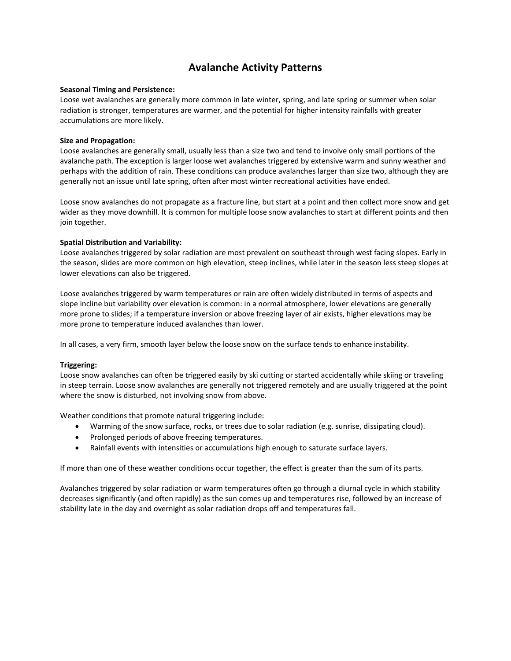## **Avalanche Activity Patterns**

### **Seasonal Timing and Persistence:**

Loose wet avalanches are generally more common in late winter, spring, and late spring or summer when solar radiation is stronger, temperatures are warmer, and the potential for higher intensity rainfalls with greater accumulations are more likely.

### **Size and Propagation:**

Loose avalanches are generally small, usually less than a size two and tend to involve only small portions of the avalanche path. The exception is larger loose wet avalanches triggered by extensive warm and sunny weather and perhaps with the addition of rain. These conditions can produce avalanches larger than size two, although they are generally not an issue until late spring, often after most winter recreational activities have ended.

Loose snow avalanches do not propagate as a fracture line, but start at a point and then collect more snow and get wider as they move downhill. It is common for multiple loose snow avalanches to start at different points and then join together.

### **Spatial Distribution and Variability:**

Loose avalanches triggered by solar radiation are most prevalent on southeast through west facing slopes. Early in the season, slides are more common on high elevation, steep inclines, while later in the season less steep slopes at lower elevations can also be triggered.

Loose avalanches triggered by warm temperatures or rain are often widely distributed in terms of aspects and slope incline but variability over elevation is common: in a normal atmosphere, lower elevations are generally more prone to slides; if a temperature inversion or above freezing layer of air exists, higher elevations may be more prone to temperature induced avalanches than lower.

In all cases, a very firm, smooth layer below the loose snow on the surface tends to enhance instability.

### **Triggering:**

Loose snow avalanches can often be triggered easily by ski cutting or started accidentally while skiing or traveling in steep terrain. Loose snow avalanches are generally not triggered remotely and are usually triggered at the point where the snow is disturbed, not involving snow from above.

Weather conditions that promote natural triggering include:

- Warming of the snow surface, rocks, or trees due to solar radiation (e.g. sunrise, dissipating cloud).
- Prolonged periods of above freezing temperatures.
- Rainfall events with intensities or accumulations high enough to saturate surface layers.

If more than one of these weather conditions occur together, the effect is greater than the sum of its parts.

Avalanches triggered by solar radiation or warm temperatures often go through a diurnal cycle in which stability decreases significantly (and often rapidly) as the sun comes up and temperatures rise, followed by an increase of stability late in the day and overnight as solar radiation drops off and temperatures fall.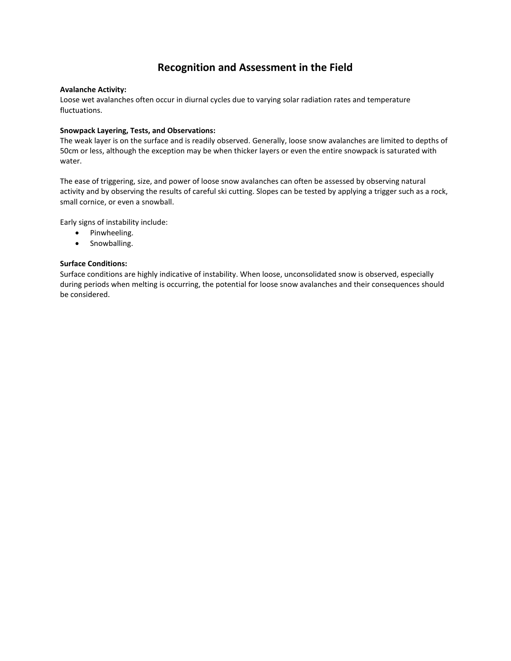## **Recognition and Assessment in the Field**

### **Avalanche Activity:**

Loose wet avalanches often occur in diurnal cycles due to varying solar radiation rates and temperature fluctuations.

### **Snowpack Layering, Tests, and Observations:**

The weak layer is on the surface and is readily observed. Generally, loose snow avalanches are limited to depths of 50cm or less, although the exception may be when thicker layers or even the entire snowpack is saturated with water.

The ease of triggering, size, and power of loose snow avalanches can often be assessed by observing natural activity and by observing the results of careful ski cutting. Slopes can be tested by applying a trigger such as a rock, small cornice, or even a snowball.

Early signs of instability include:

- Pinwheeling.
- Snowballing.

### **Surface Conditions:**

Surface conditions are highly indicative of instability. When loose, unconsolidated snow is observed, especially during periods when melting is occurring, the potential for loose snow avalanches and their consequences should be considered.